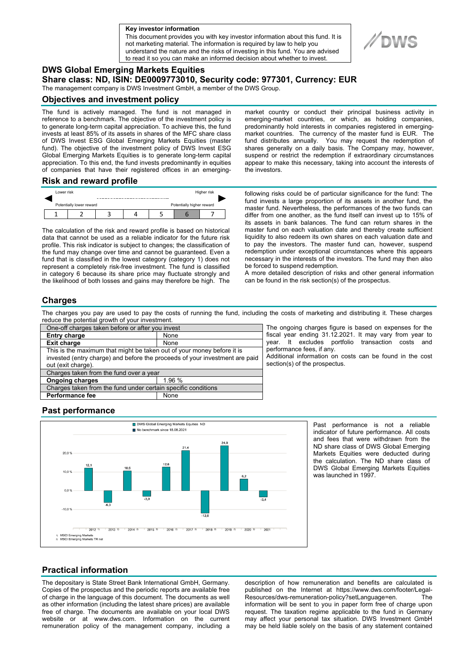**a Key investor information**

This document provides you with key investor information about this fund. It is not marketing material. The information is required by law to help you understand the nature and the risks of investing in this fund. You are advised to read it so you can make an informed decision about whether to invest.

# **DWS Global Emerging Markets Equities**

**Share class: ND, ISIN: DE0009773010, Security code: 977301, Currency: EUR** 

The management company is DWS Investment GmbH, a member of the DWS Group.

### **Objectives and investment policy**

The fund is actively managed. The fund is not managed in reference to a benchmark. The objective of the investment policy is to generate long-term capital appreciation. To achieve this, the fund invests at least 85% of its assets in shares of the MFC share class of DWS Invest ESG Global Emerging Markets Equities (master fund). The objective of the investment policy of DWS Invest ESG Global Emerging Markets Equities is to generate long-term capital appreciation. To this end, the fund invests predominantly in equities of companies that have their registered offices in an emerging-

**Risk and reward profile**



The calculation of the risk and reward profile is based on historical data that cannot be used as a reliable indicator for the future risk profile. This risk indicator is subject to changes; the classification of the fund may change over time and cannot be guaranteed. Even a fund that is classified in the lowest category (category 1) does not represent a completely risk-free investment. The fund is classified in category 6 because its share price may fluctuate strongly and the likelihood of both losses and gains may therefore be high. The

market country or conduct their principal business activity in emerging-market countries, or which, as holding companies, predominantly hold interests in companies registered in emergingmarket countries. The currency of the master fund is EUR. The fund distributes annually. You may request the redemption of shares generally on a daily basis. The Company may, however, suspend or restrict the redemption if extraordinary circumstances appear to make this necessary, taking into account the interests of the investors.

following risks could be of particular significance for the fund: The fund invests a large proportion of its assets in another fund, the master fund. Nevertheless, the performances of the two funds can differ from one another, as the fund itself can invest up to 15% of its assets in bank balances. The fund can return shares in the master fund on each valuation date and thereby create sufficient liquidity to also redeem its own shares on each valuation date and to pay the investors. The master fund can, however, suspend redemption under exceptional circumstances where this appears necessary in the interests of the investors. The fund may then also be forced to suspend redemption.

A more detailed description of risks and other general information can be found in the risk section(s) of the prospectus.

## **Charges**

The charges you pay are used to pay the costs of running the fund, including the costs of marketing and distributing it. These charges reduce the potential growth of your investment.

| One-off charges taken before or after you invest                            |        |
|-----------------------------------------------------------------------------|--------|
| <b>Entry charge</b>                                                         | None   |
| <b>Exit charge</b>                                                          | None   |
| This is the maximum that might be taken out of your money before it is      |        |
| invested (entry charge) and before the proceeds of your investment are paid |        |
| out (exit charge).                                                          |        |
| Charges taken from the fund over a year                                     |        |
| <b>Ongoing charges</b>                                                      | 1.96 % |
| Charges taken from the fund under certain specific conditions               |        |
| <b>Performance fee</b>                                                      | None   |
|                                                                             |        |

The ongoing charges figure is based on expenses for the fiscal year ending 31.12.2021. It may vary from year to year. It excludes portfolio transaction costs and performance fees, if any.

Additional information on costs can be found in the cost section(s) of the prospectus.

## **Past performance**



Past performance is not a reliable indicator of future performance. All costs and fees that were withdrawn from the ND share class of DWS Global Emerging Markets Equities were deducted during the calculation. The ND share class of DWS Global Emerging Markets Equities was launched in 1997.

## **Practical information**

The depositary is State Street Bank International GmbH, Germany. Copies of the prospectus and the periodic reports are available free of charge in the language of this document. The documents as well as other information (including the latest share prices) are available free of charge. The documents are available on your local DWS website or at www.dws.com. Information on the current remuneration policy of the management company, including a

description of how remuneration and benefits are calculated is published on the Internet at https://www.dws.com/footer/Legal-<br>Resources/dws-remuneration-policy?setlanguage=en The Resources/dws-remuneration-policy?setLanguage=en. information will be sent to you in paper form free of charge upon request. The taxation regime applicable to the fund in Germany may affect your personal tax situation. DWS Investment GmbH may be held liable solely on the basis of any statement contained